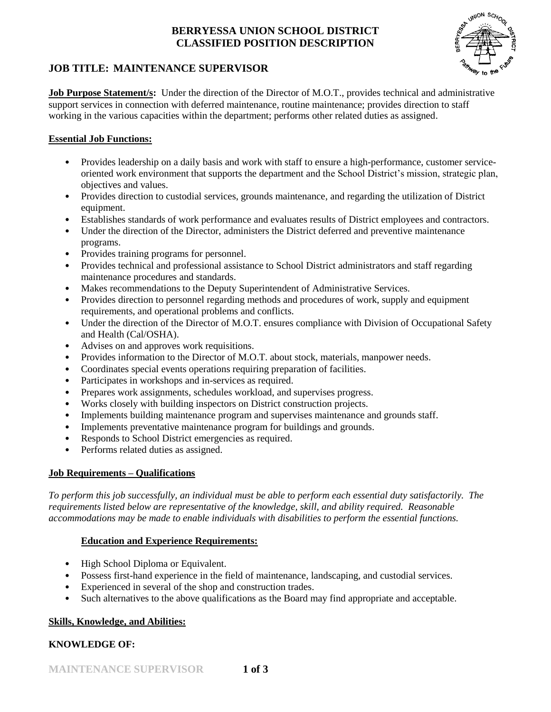# **BERRYESSA UNION SCHOOL DISTRICT CLASSIFIED POSITION DESCRIPTION**



# **JOB TITLE: MAINTENANCE SUPERVISOR**

**Job Purpose Statement/s:** Under the direction of the Director of M.O.T., provides technical and administrative support services in connection with deferred maintenance, routine maintenance; provides direction to staff working in the various capacities within the department; performs other related duties as assigned.

#### **Essential Job Functions:**

- Provides leadership on a daily basis and work with staff to ensure a high-performance, customer serviceoriented work environment that supports the department and the School District's mission, strategic plan, objectives and values.
- Provides direction to custodial services, grounds maintenance, and regarding the utilization of District equipment.
- Establishes standards of work performance and evaluates results of District employees and contractors.
- Under the direction of the Director, administers the District deferred and preventive maintenance programs.
- Provides training programs for personnel.
- Provides technical and professional assistance to School District administrators and staff regarding maintenance procedures and standards.
- Makes recommendations to the Deputy Superintendent of Administrative Services.
- Provides direction to personnel regarding methods and procedures of work, supply and equipment requirements, and operational problems and conflicts.
- Under the direction of the Director of M.O.T. ensures compliance with Division of Occupational Safety and Health (Cal/OSHA).
- Advises on and approves work requisitions.
- Provides information to the Director of M.O.T. about stock, materials, manpower needs.
- Coordinates special events operations requiring preparation of facilities.
- Participates in workshops and in-services as required.
- Prepares work assignments, schedules workload, and supervises progress.
- Works closely with building inspectors on District construction projects.
- Implements building maintenance program and supervises maintenance and grounds staff.
- Implements preventative maintenance program for buildings and grounds.
- Responds to School District emergencies as required.
- Performs related duties as assigned.

#### **Job Requirements – Qualifications**

*To perform this job successfully, an individual must be able to perform each essential duty satisfactorily. The requirements listed below are representative of the knowledge, skill, and ability required. Reasonable accommodations may be made to enable individuals with disabilities to perform the essential functions.*

## **Education and Experience Requirements:**

- High School Diploma or Equivalent.
- Possess first-hand experience in the field of maintenance, landscaping, and custodial services.
- Experienced in several of the shop and construction trades.
- Such alternatives to the above qualifications as the Board may find appropriate and acceptable.

#### **Skills, Knowledge, and Abilities:**

## **KNOWLEDGE OF:**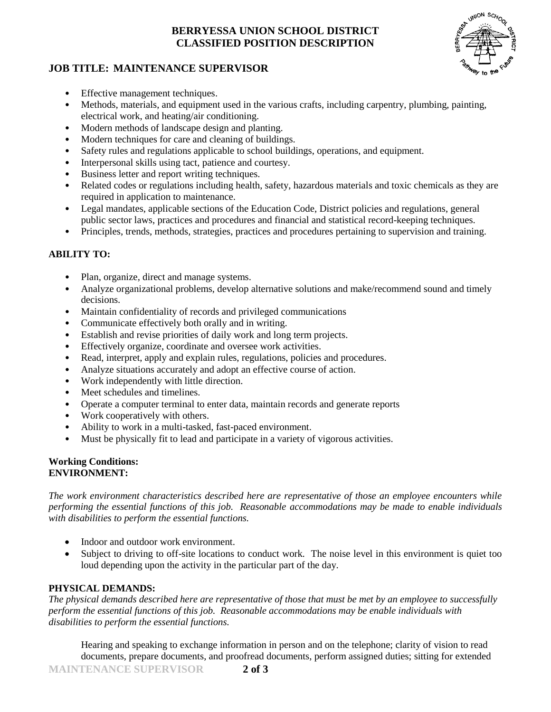# **BERRYESSA UNION SCHOOL DISTRICT CLASSIFIED POSITION DESCRIPTION**



# **JOB TITLE: MAINTENANCE SUPERVISOR**

- Effective management techniques.
- Methods, materials, and equipment used in the various crafts, including carpentry, plumbing, painting, electrical work, and heating/air conditioning.
- Modern methods of landscape design and planting.
- Modern techniques for care and cleaning of buildings.
- Safety rules and regulations applicable to school buildings, operations, and equipment.
- Interpersonal skills using tact, patience and courtesy.
- Business letter and report writing techniques.
- Related codes or regulations including health, safety, hazardous materials and toxic chemicals as they are required in application to maintenance.
- Legal mandates, applicable sections of the Education Code, District policies and regulations, general public sector laws, practices and procedures and financial and statistical record-keeping techniques.
- Principles, trends, methods, strategies, practices and procedures pertaining to supervision and training.

#### **ABILITY TO:**

- Plan, organize, direct and manage systems.
- Analyze organizational problems, develop alternative solutions and make/recommend sound and timely decisions.
- Maintain confidentiality of records and privileged communications
- Communicate effectively both orally and in writing.
- Establish and revise priorities of daily work and long term projects.
- Effectively organize, coordinate and oversee work activities.
- Read, interpret, apply and explain rules, regulations, policies and procedures.
- Analyze situations accurately and adopt an effective course of action.
- Work independently with little direction.
- Meet schedules and timelines.
- Operate a computer terminal to enter data, maintain records and generate reports
- Work cooperatively with others.
- Ability to work in a multi-tasked, fast-paced environment.
- Must be physically fit to lead and participate in a variety of vigorous activities.

#### **Working Conditions: ENVIRONMENT:**

*The work environment characteristics described here are representative of those an employee encounters while performing the essential functions of this job. Reasonable accommodations may be made to enable individuals with disabilities to perform the essential functions.*

- Indoor and outdoor work environment.
- Subject to driving to off-site locations to conduct work. The noise level in this environment is quiet too loud depending upon the activity in the particular part of the day.

## **PHYSICAL DEMANDS:**

*The physical demands described here are representative of those that must be met by an employee to successfully perform the essential functions of this job. Reasonable accommodations may be enable individuals with disabilities to perform the essential functions.*

Hearing and speaking to exchange information in person and on the telephone; clarity of vision to read documents, prepare documents, and proofread documents, perform assigned duties; sitting for extended